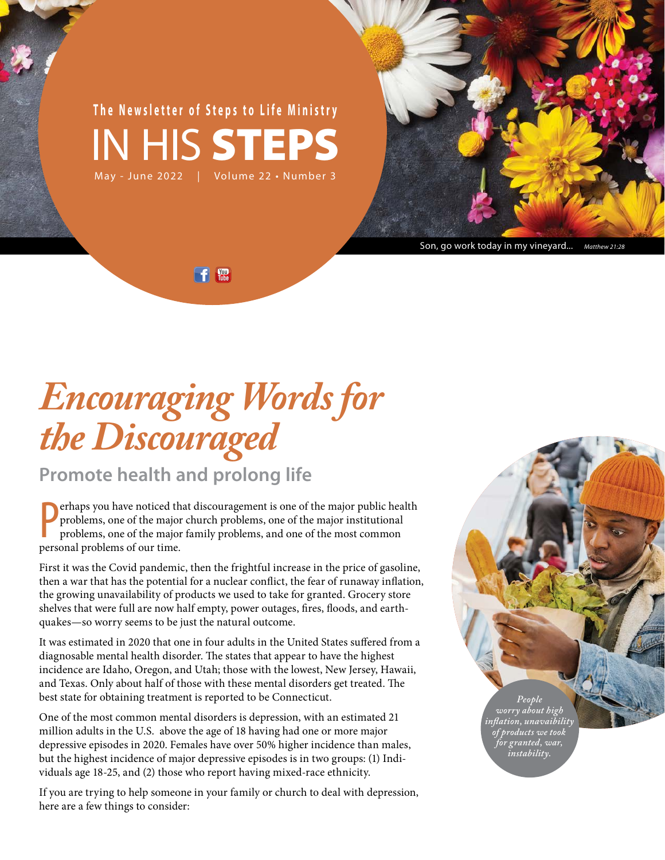**The Newsletter of Steps to Life Ministry** IN HIS STEPS May - June 2022 | Volume 22 • Number 3

Son, go work today in my vineyard... *Matthew 21:28*

# *Encouraging Words for the Discouraged*

**f** 

## **Promote health and prolong life**

**Perhaps you have noticed the problems, one of the major problems**, one of the major personal problems of our time. erhaps you have noticed that discouragement is one of the major public health problems, one of the major church problems, one of the major institutional problems, one of the major family problems, and one of the most common

First it was the Covid pandemic, then the frightful increase in the price of gasoline, then a war that has the potential for a nuclear conflict, the fear of runaway inflation, the growing unavailability of products we used to take for granted. Grocery store shelves that were full are now half empty, power outages, fires, floods, and earthquakes—so worry seems to be just the natural outcome.

It was estimated in 2020 that one in four adults in the United States suffered from a diagnosable mental health disorder. The states that appear to have the highest incidence are Idaho, Oregon, and Utah; those with the lowest, New Jersey, Hawaii, and Texas. Only about half of those with these mental disorders get treated. The best state for obtaining treatment is reported to be Connecticut.

One of the most common mental disorders is depression, with an estimated 21 million adults in the U.S. above the age of 18 having had one or more major depressive episodes in 2020. Females have over 50% higher incidence than males, but the highest incidence of major depressive episodes is in two groups: (1) Individuals age 18-25, and (2) those who report having mixed-race ethnicity.

If you are trying to help someone in your family or church to deal with depression, here are a few things to consider:

*People worry about high inflation, unavaibility of products we took for granted, war, instability.*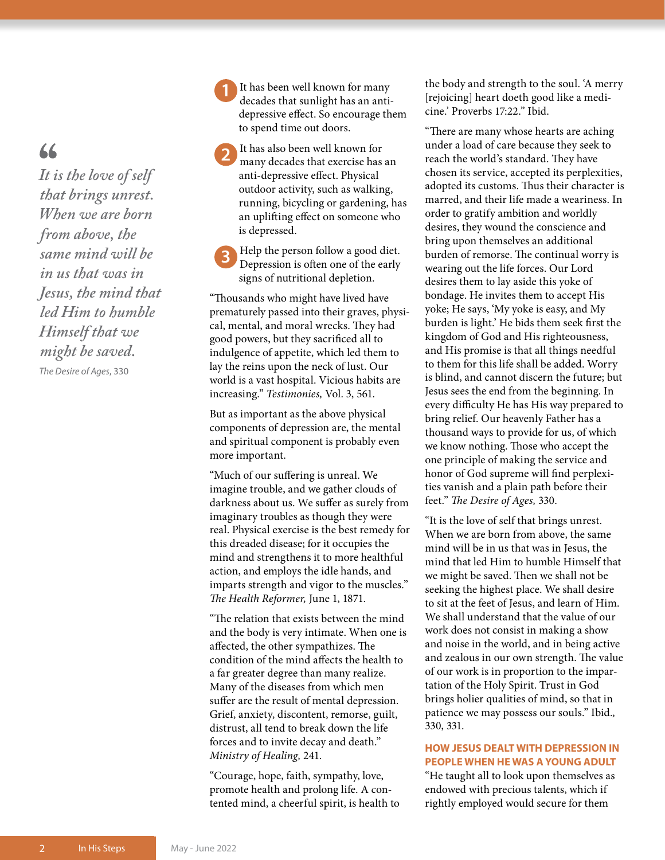### 66

*It is the love of self that brings unrest. When we are born from above, the same mind will be in us that was in Jesus, the mind that led Him to humble Himself that we might be saved. The Desire of Ages*, 330

**1** It has been well known for many decades that sunlight has an antidepressive effect. So encourage them to spend time out doors.

**2** It has also been well known for many decades that exercise has an anti-depressive effect. Physical outdoor activity, such as walking, running, bicycling or gardening, has an uplifting effect on someone who is depressed.

**3** Help the person follow a good diet. Depression is often one of the early signs of nutritional depletion.

"Thousands who might have lived have prematurely passed into their graves, physical, mental, and moral wrecks. They had good powers, but they sacrificed all to indulgence of appetite, which led them to lay the reins upon the neck of lust. Our world is a vast hospital. Vicious habits are increasing." *Testimonies,* Vol. 3, 561.

But as important as the above physical components of depression are, the mental and spiritual component is probably even more important.

"Much of our suffering is unreal. We imagine trouble, and we gather clouds of darkness about us. We suffer as surely from imaginary troubles as though they were real. Physical exercise is the best remedy for this dreaded disease; for it occupies the mind and strengthens it to more healthful action, and employs the idle hands, and imparts strength and vigor to the muscles." *The Health Reformer,* June 1, 1871.

"The relation that exists between the mind and the body is very intimate. When one is affected, the other sympathizes. The condition of the mind affects the health to a far greater degree than many realize. Many of the diseases from which men suffer are the result of mental depression. Grief, anxiety, discontent, remorse, guilt, distrust, all tend to break down the life forces and to invite decay and death." *Ministry of Healing,* 241.

"Courage, hope, faith, sympathy, love, promote health and prolong life. A contented mind, a cheerful spirit, is health to the body and strength to the soul. 'A merry [rejoicing] heart doeth good like a medicine.' Proverbs 17:22." Ibid.

"There are many whose hearts are aching under a load of care because they seek to reach the world's standard. They have chosen its service, accepted its perplexities, adopted its customs. Thus their character is marred, and their life made a weariness. In order to gratify ambition and worldly desires, they wound the conscience and bring upon themselves an additional burden of remorse. The continual worry is wearing out the life forces. Our Lord desires them to lay aside this yoke of bondage. He invites them to accept His yoke; He says, 'My yoke is easy, and My burden is light.' He bids them seek first the kingdom of God and His righteousness, and His promise is that all things needful to them for this life shall be added. Worry is blind, and cannot discern the future; but Jesus sees the end from the beginning. In every difficulty He has His way prepared to bring relief. Our heavenly Father has a thousand ways to provide for us, of which we know nothing. Those who accept the one principle of making the service and honor of God supreme will find perplexities vanish and a plain path before their feet." *The Desire of Ages,* 330.

"It is the love of self that brings unrest. When we are born from above, the same mind will be in us that was in Jesus, the mind that led Him to humble Himself that we might be saved. Then we shall not be seeking the highest place. We shall desire to sit at the feet of Jesus, and learn of Him. We shall understand that the value of our work does not consist in making a show and noise in the world, and in being active and zealous in our own strength. The value of our work is in proportion to the impartation of the Holy Spirit. Trust in God brings holier qualities of mind, so that in patience we may possess our souls." Ibid.*,* 330, 331.

#### **HOW JESUS DEALT WITH DEPRESSION IN PEOPLE WHEN HE WAS A YOUNG ADULT**

"He taught all to look upon themselves as endowed with precious talents, which if rightly employed would secure for them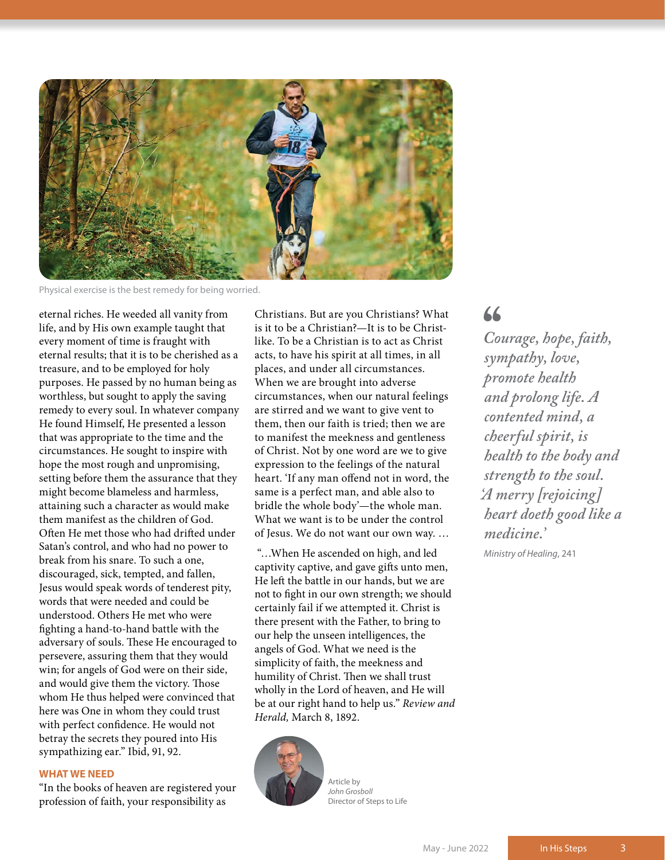

Physical exercise is the best remedy for being worried.

eternal riches. He weeded all vanity from life, and by His own example taught that every moment of time is fraught with eternal results; that it is to be cherished as a treasure, and to be employed for holy purposes. He passed by no human being as worthless, but sought to apply the saving remedy to every soul. In whatever company He found Himself, He presented a lesson that was appropriate to the time and the circumstances. He sought to inspire with hope the most rough and unpromising, setting before them the assurance that they might become blameless and harmless, attaining such a character as would make them manifest as the children of God. Often He met those who had drifted under Satan's control, and who had no power to break from his snare. To such a one, discouraged, sick, tempted, and fallen, Jesus would speak words of tenderest pity, words that were needed and could be understood. Others He met who were fighting a hand-to-hand battle with the adversary of souls. These He encouraged to persevere, assuring them that they would win; for angels of God were on their side, and would give them the victory. Those whom He thus helped were convinced that here was One in whom they could trust with perfect confidence. He would not betray the secrets they poured into His sympathizing ear." Ibid, 91, 92.

#### **WHAT WE NEED**

"In the books of heaven are registered your profession of faith, your responsibility as

Christians. But are you Christians? What is it to be a Christian?—It is to be Christlike. To be a Christian is to act as Christ acts, to have his spirit at all times, in all places, and under all circumstances. When we are brought into adverse circumstances, when our natural feelings are stirred and we want to give vent to them, then our faith is tried; then we are to manifest the meekness and gentleness of Christ. Not by one word are we to give expression to the feelings of the natural heart. 'If any man offend not in word, the same is a perfect man, and able also to bridle the whole body'—the whole man. What we want is to be under the control of Jesus. We do not want our own way. …

 "…When He ascended on high, and led captivity captive, and gave gifts unto men, He left the battle in our hands, but we are not to fight in our own strength; we should certainly fail if we attempted it. Christ is there present with the Father, to bring to our help the unseen intelligences, the angels of God. What we need is the simplicity of faith, the meekness and humility of Christ. Then we shall trust wholly in the Lord of heaven, and He will be at our right hand to help us." *Review and Herald,* March 8, 1892.



Article by *John Grosboll* Director of Steps to Life

### 66

*Courage, hope, faith, sympathy, love, promote health and prolong life. A contented mind, a cheerful spirit, is health to the body and strength to the soul. 'A merry [rejoicing] heart doeth good like a medicine.'* 

*Ministry of Healing*, 241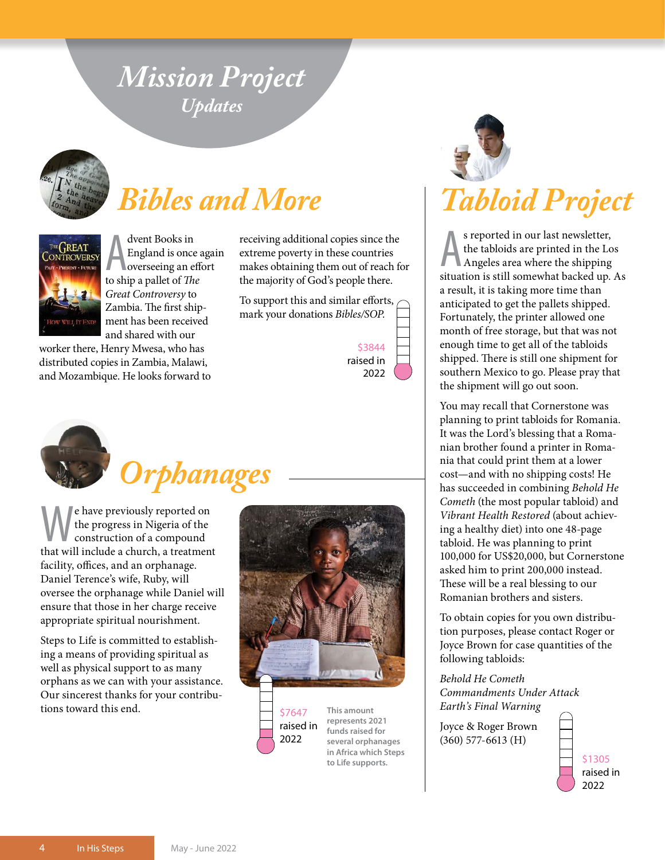## *Mission Project Updates*



# *Bibles and More Tabloid Project*



dvent Books in<br>England is once a<br>overseeing an eff<br>to ship a pallet of *The* dvent Books in England is once again overseeing an effort *Great Controversy* to Zambia. The first shipment has been received and shared with our

worker there, Henry Mwesa, who has distributed copies in Zambia, Malawi, and Mozambique. He looks forward to



e have previously reported on the progress in Nigeria of the construction of a compound that will include a church, a treatment facility, offices, and an orphanage. Daniel Terence's wife, Ruby, will oversee the orphanage while Daniel will ensure that those in her charge receive appropriate spiritual nourishment.

Steps to Life is committed to establishing a means of providing spiritual as well as physical support to as many orphans as we can with your assistance. Our sincerest thanks for your contributions toward this end.





**This amount represents 2021 funds raised for several orphanages in Africa which Steps to Life supports.**

\$3844 raised in 2022

receiving additional copies since the extreme poverty in these countries makes obtaining them out of reach for the majority of God's people there. To support this and similar efforts, mark your donations *Bibles/SOP.*



s reported in our last newsletter,<br>the tabloids are printed in the Los<br>Angeles area where the shipping<br>situation is still somewhat backed up. As s reported in our last newsletter, the tabloids are printed in the Los Angeles area where the shipping a result, it is taking more time than anticipated to get the pallets shipped. Fortunately, the printer allowed one month of free storage, but that was not enough time to get all of the tabloids shipped. There is still one shipment for southern Mexico to go. Please pray that the shipment will go out soon.

You may recall that Cornerstone was planning to print tabloids for Romania. It was the Lord's blessing that a Romanian brother found a printer in Romania that could print them at a lower cost—and with no shipping costs! He has succeeded in combining *Behold He Cometh* (the most popular tabloid) and *Vibrant Health Restored* (about achieving a healthy diet) into one 48-page tabloid. He was planning to print 100,000 for US\$20,000, but Cornerstone asked him to print 200,000 instead. These will be a real blessing to our Romanian brothers and sisters.

To obtain copies for you own distribution purposes, please contact Roger or Joyce Brown for case quantities of the following tabloids:

*Behold He Cometh Commandments Under Attack Earth's Final Warning*

Joyce & Roger Brown (360) 577-6613 (H)

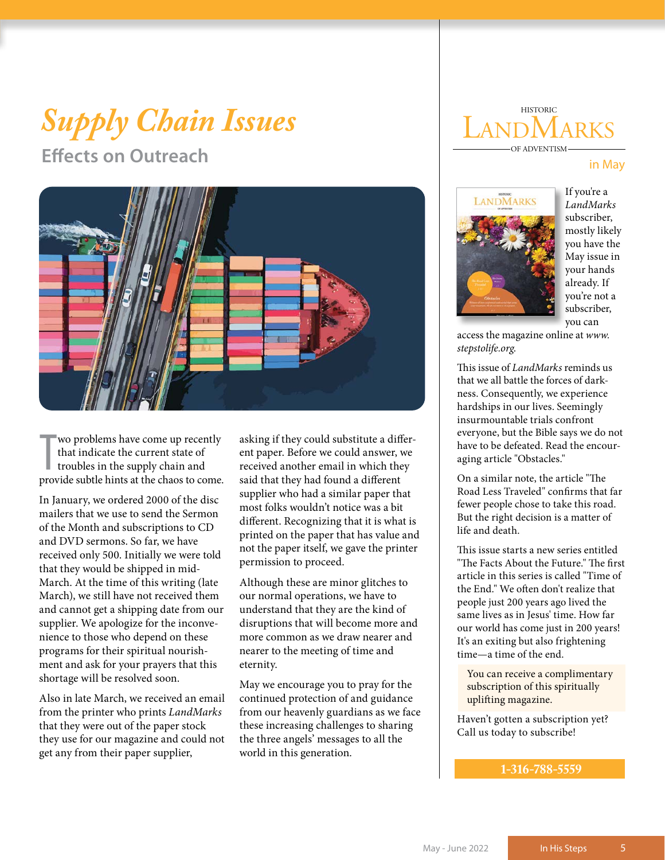# *Supply Chain Issues* **Effects on Outreach**



Wo problems have come up recently<br>that indicate the current state of<br>troubles in the supply chain and<br>provide subtle hints at the chaos to come. wo problems have come up recently that indicate the current state of troubles in the supply chain and

In January, we ordered 2000 of the disc mailers that we use to send the Sermon of the Month and subscriptions to CD and DVD sermons. So far, we have received only 500. Initially we were told that they would be shipped in mid-March. At the time of this writing (late March), we still have not received them and cannot get a shipping date from our supplier. We apologize for the inconvenience to those who depend on these programs for their spiritual nourishment and ask for your prayers that this shortage will be resolved soon.

Also in late March, we received an email from the printer who prints *LandMarks* that they were out of the paper stock they use for our magazine and could not get any from their paper supplier,

asking if they could substitute a different paper. Before we could answer, we received another email in which they said that they had found a different supplier who had a similar paper that most folks wouldn't notice was a bit different. Recognizing that it is what is printed on the paper that has value and not the paper itself, we gave the printer permission to proceed.

Although these are minor glitches to our normal operations, we have to understand that they are the kind of disruptions that will become more and more common as we draw nearer and nearer to the meeting of time and eternity.

May we encourage you to pray for the continued protection of and guidance from our heavenly guardians as we face these increasing challenges to sharing the three angels' messages to all the world in this generation.

### LANDMARKS HISTORIC OF ADVENTISM

#### in May



If you're a *LandMarks* subscriber, mostly likely you have the May issue in your hands already. If you're not a subscriber, you can

access the magazine online at *www. stepstolife.org*.

This issue of *LandMarks* reminds us that we all battle the forces of darkness. Consequently, we experience hardships in our lives. Seemingly insurmountable trials confront everyone, but the Bible says we do not have to be defeated. Read the encouraging article "Obstacles."

On a similar note, the article "The Road Less Traveled" confirms that far fewer people chose to take this road. But the right decision is a matter of life and death.

This issue starts a new series entitled "The Facts About the Future." The first article in this series is called "Time of the End." We often don't realize that people just 200 years ago lived the same lives as in Jesus' time. How far our world has come just in 200 years! It's an exiting but also frightening time—a time of the end.

You can receive a complimentary subscription of this spiritually uplifting magazine.

Haven't gotten a subscription yet? Call us today to subscribe!

#### **1-316-788-5559**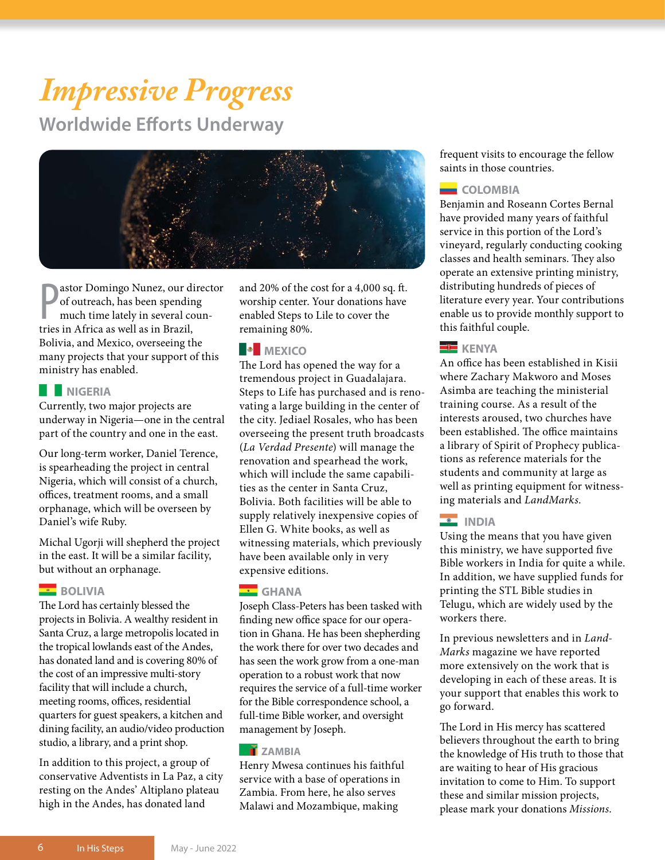# *Impressive Progress*

**Worldwide Efforts Underway**



**P** astor Domingo Nunez, our di<br>of outreach, has been spendin<br>much time lately in several co<br>tries in Africa as well as in Brazil, astor Domingo Nunez, our director of outreach, has been spending much time lately in several coun-Bolivia, and Mexico, overseeing the many projects that your support of this ministry has enabled.

#### **NIGERIA**

Currently, two major projects are underway in Nigeria—one in the central part of the country and one in the east.

Our long-term worker, Daniel Terence, is spearheading the project in central Nigeria, which will consist of a church, offices, treatment rooms, and a small orphanage, which will be overseen by Daniel's wife Ruby.

Michal Ugorji will shepherd the project in the east. It will be a similar facility, but without an orphanage.

#### **BOLIVIA**

The Lord has certainly blessed the projects in Bolivia. A wealthy resident in Santa Cruz, a large metropolis located in the tropical lowlands east of the Andes, has donated land and is covering 80% of the cost of an impressive multi-story facility that will include a church, meeting rooms, offices, residential quarters for guest speakers, a kitchen and dining facility, an audio/video production studio, a library, and a print shop.

In addition to this project, a group of conservative Adventists in La Paz, a city resting on the Andes' Altiplano plateau high in the Andes, has donated land

and 20% of the cost for a 4,000 sq. ft. worship center. Your donations have enabled Steps to Lile to cover the remaining 80%.

#### **MEXICO**

The Lord has opened the way for a tremendous project in Guadalajara. Steps to Life has purchased and is renovating a large building in the center of the city. Jediael Rosales, who has been overseeing the present truth broadcasts (*La Verdad Presente*) will manage the renovation and spearhead the work, which will include the same capabilities as the center in Santa Cruz, Bolivia. Both facilities will be able to supply relatively inexpensive copies of Ellen G. White books, as well as witnessing materials, which previously have been available only in very expensive editions.

#### **T**GHANA

Joseph Class-Peters has been tasked with finding new office space for our operation in Ghana. He has been shepherding the work there for over two decades and has seen the work grow from a one-man operation to a robust work that now requires the service of a full-time worker for the Bible correspondence school, a full-time Bible worker, and oversight management by Joseph.

#### **ZAMBIA**

Henry Mwesa continues his faithful service with a base of operations in Zambia. From here, he also serves Malawi and Mozambique, making

frequent visits to encourage the fellow saints in those countries.

#### **COLOMBIA**

Benjamin and Roseann Cortes Bernal have provided many years of faithful service in this portion of the Lord's vineyard, regularly conducting cooking classes and health seminars. They also operate an extensive printing ministry, distributing hundreds of pieces of literature every year. Your contributions enable us to provide monthly support to this faithful couple.

#### **KENYA**

An office has been established in Kisii where Zachary Makworo and Moses Asimba are teaching the ministerial training course. As a result of the interests aroused, two churches have been established. The office maintains a library of Spirit of Prophecy publications as reference materials for the students and community at large as well as printing equipment for witnessing materials and *LandMarks*.

#### **EXAMPLE**

Using the means that you have given this ministry, we have supported five Bible workers in India for quite a while. In addition, we have supplied funds for printing the STL Bible studies in Telugu, which are widely used by the workers there.

In previous newsletters and in *Land-Marks* magazine we have reported more extensively on the work that is developing in each of these areas. It is your support that enables this work to go forward.

The Lord in His mercy has scattered believers throughout the earth to bring the knowledge of His truth to those that are waiting to hear of His gracious invitation to come to Him. To support these and similar mission projects, please mark your donations *Missions*.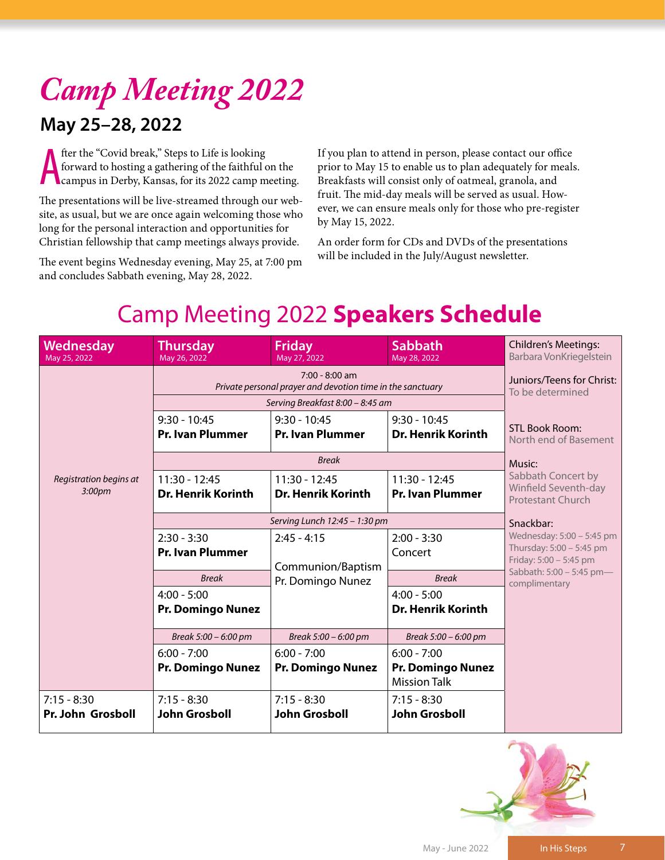# *Camp Meeting 2022* **May 25–28, 2022**

A fter the "Covid break," Steps to Life is looking forward to hosting a gathering of the faithful on the campus in Derby, Kansas, for its 2022 camp meeting.

The presentations will be live-streamed through our website, as usual, but we are once again welcoming those who long for the personal interaction and opportunities for Christian fellowship that camp meetings always provide.

The event begins Wednesday evening, May 25, at 7:00 pm and concludes Sabbath evening, May 28, 2022.

If you plan to attend in person, please contact our office prior to May 15 to enable us to plan adequately for meals. Breakfasts will consist only of oatmeal, granola, and fruit. The mid-day meals will be served as usual. However, we can ensure meals only for those who pre-register by May 15, 2022.

An order form for CDs and DVDs of the presentations will be included in the July/August newsletter.

## Camp Meeting 2022 **Speakers Schedule**

| <b>Wednesday</b><br>May 25, 2022 | <b>Thursday</b><br>May 26, 2022                                                                                  | <b>Friday</b><br>May 27, 2022 | <b>Sabbath</b><br>May 28, 2022                  | <b>Children's Meetings:</b><br>Barbara VonKriegelstein |
|----------------------------------|------------------------------------------------------------------------------------------------------------------|-------------------------------|-------------------------------------------------|--------------------------------------------------------|
|                                  | 7:00 - 8:00 am<br>Private personal prayer and devotion time in the sanctuary<br>Serving Breakfast 8:00 - 8:45 am |                               |                                                 | Juniors/Teens for Christ:<br>To be determined          |
|                                  |                                                                                                                  |                               |                                                 |                                                        |
|                                  | $9:30 - 10:45$                                                                                                   | $9:30 - 10:45$                | $9:30 - 10:45$                                  | <b>STL Book Room:</b>                                  |
|                                  | <b>Pr. Ivan Plummer</b>                                                                                          | <b>Pr. Ivan Plummer</b>       | <b>Dr. Henrik Korinth</b>                       | North end of Basement                                  |
|                                  | <b>Break</b>                                                                                                     |                               |                                                 | Music:                                                 |
| Registration begins at           | $11:30 - 12:45$                                                                                                  | 11:30 - 12:45                 | $11:30 - 12:45$                                 | Sabbath Concert by                                     |
| 3:00pm                           | <b>Dr. Henrik Korinth</b>                                                                                        | <b>Dr. Henrik Korinth</b>     | <b>Pr. Ivan Plummer</b>                         | Winfield Seventh-day<br><b>Protestant Church</b>       |
|                                  | Serving Lunch 12:45 - 1:30 pm                                                                                    |                               |                                                 | Snackbar:                                              |
|                                  | $2:30 - 3:30$                                                                                                    | $2:45 - 4:15$                 | $2:00 - 3:30$                                   | Wednesday: 5:00 - 5:45 pm                              |
|                                  | <b>Pr. Ivan Plummer</b>                                                                                          | Communion/Baptism             | Concert                                         | Thursday: 5:00 - 5:45 pm<br>Friday: 5:00 - 5:45 pm     |
|                                  | <b>Break</b>                                                                                                     | Pr. Domingo Nunez             | <b>Break</b>                                    | Sabbath: 5:00 - 5:45 pm-<br>complimentary              |
|                                  | $4:00 - 5:00$                                                                                                    |                               | $4:00 - 5:00$                                   |                                                        |
|                                  | Pr. Domingo Nunez                                                                                                |                               | <b>Dr. Henrik Korinth</b>                       |                                                        |
|                                  | Break 5:00 - 6:00 pm                                                                                             | Break 5:00 - 6:00 pm          | Break 5:00 - 6:00 pm                            |                                                        |
|                                  | $6:00 - 7:00$                                                                                                    | $6:00 - 7:00$                 | $6:00 - 7:00$                                   |                                                        |
|                                  | <b>Pr. Domingo Nunez</b>                                                                                         | <b>Pr. Domingo Nunez</b>      | <b>Pr. Domingo Nunez</b><br><b>Mission Talk</b> |                                                        |
| $7:15 - 8:30$                    | $7:15 - 8:30$                                                                                                    | $7:15 - 8:30$                 | $7:15 - 8:30$                                   |                                                        |
| Pr. John Grosboll                | <b>John Grosboll</b>                                                                                             | <b>John Grosboll</b>          | <b>John Grosboll</b>                            |                                                        |